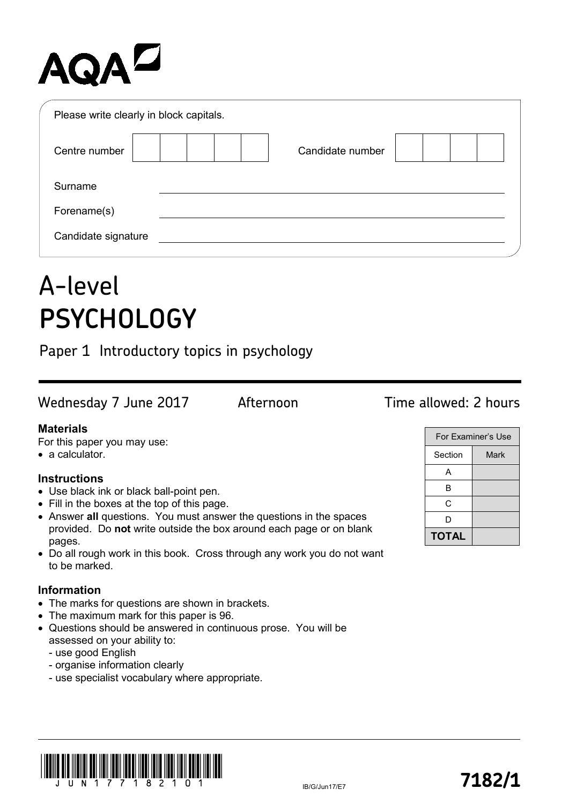# AQAZ

| Please write clearly in block capitals. |                  |
|-----------------------------------------|------------------|
| Centre number                           | Candidate number |
| Surname                                 |                  |
| Forename(s)                             |                  |
| Candidate signature                     |                  |

## A-level **PSYCHOLOGY**

Paper 1 Introductory topics in psychology

Wednesday 7 June 2017 Afternoon Time allowed: 2 hours

#### **Materials**

For this paper you may use:

• a calculator.

#### **Instructions**

- Use black ink or black ball-point pen.
- Fill in the boxes at the top of this page.
- Answer **all** questions. You must answer the questions in the spaces provided. Do **not** write outside the box around each page or on blank pages.
- Do all rough work in this book. Cross through any work you do not want to be marked.

#### **Information**

- The marks for questions are shown in brackets.
- The maximum mark for this paper is 96.
- Questions should be answered in continuous prose. You will be assessed on your ability to:
	- use good English
	- organise information clearly
	- use specialist vocabulary where appropriate.

|              | For Examiner's Use |
|--------------|--------------------|
| Section      | Mark               |
| А            |                    |
| в            |                    |
| C            |                    |
| D            |                    |
| <b>TOTAL</b> |                    |

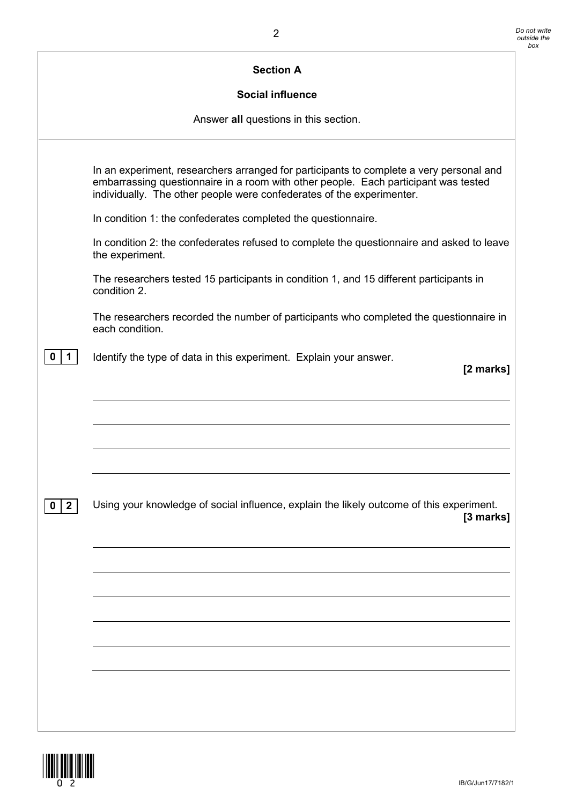|              | <b>Section A</b>                                                                                                                                                                                                                                        |
|--------------|---------------------------------------------------------------------------------------------------------------------------------------------------------------------------------------------------------------------------------------------------------|
|              | <b>Social influence</b>                                                                                                                                                                                                                                 |
|              | Answer all questions in this section.                                                                                                                                                                                                                   |
|              |                                                                                                                                                                                                                                                         |
|              | In an experiment, researchers arranged for participants to complete a very personal and<br>embarrassing questionnaire in a room with other people. Each participant was tested<br>individually. The other people were confederates of the experimenter. |
|              | In condition 1: the confederates completed the questionnaire.                                                                                                                                                                                           |
|              | In condition 2: the confederates refused to complete the questionnaire and asked to leave<br>the experiment.                                                                                                                                            |
|              | The researchers tested 15 participants in condition 1, and 15 different participants in<br>condition 2.                                                                                                                                                 |
|              | The researchers recorded the number of participants who completed the questionnaire in<br>each condition.                                                                                                                                               |
|              | Identify the type of data in this experiment. Explain your answer.<br>[2 marks]                                                                                                                                                                         |
|              |                                                                                                                                                                                                                                                         |
|              |                                                                                                                                                                                                                                                         |
|              |                                                                                                                                                                                                                                                         |
|              |                                                                                                                                                                                                                                                         |
|              |                                                                                                                                                                                                                                                         |
| $\mathbf{2}$ | Using your knowledge of social influence, explain the likely outcome of this experiment.<br>[3 marks]                                                                                                                                                   |
|              |                                                                                                                                                                                                                                                         |
|              |                                                                                                                                                                                                                                                         |
|              |                                                                                                                                                                                                                                                         |
|              |                                                                                                                                                                                                                                                         |
|              |                                                                                                                                                                                                                                                         |
|              |                                                                                                                                                                                                                                                         |
|              |                                                                                                                                                                                                                                                         |
|              |                                                                                                                                                                                                                                                         |

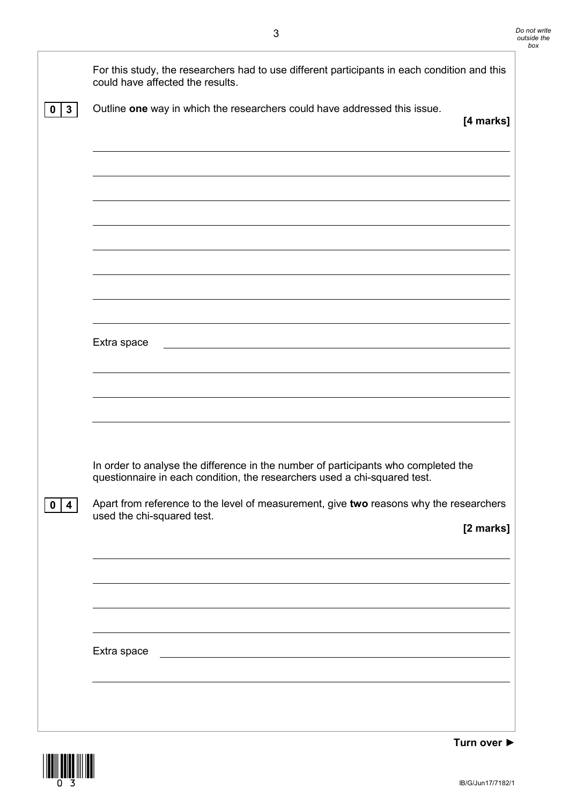|                             | For this study, the researchers had to use different participants in each condition and this<br>could have affected the results.                                |
|-----------------------------|-----------------------------------------------------------------------------------------------------------------------------------------------------------------|
| $\mathbf{3}$<br>$\mathbf 0$ | Outline one way in which the researchers could have addressed this issue.<br>[4 marks]                                                                          |
|                             |                                                                                                                                                                 |
|                             |                                                                                                                                                                 |
|                             |                                                                                                                                                                 |
|                             |                                                                                                                                                                 |
|                             | Extra space<br><u> 1980 - Jan Sterling von Berger von Berger von Berger von Berger von Berger von Berger von Berger von Berger</u>                              |
|                             |                                                                                                                                                                 |
|                             | In order to analyse the difference in the number of participants who completed the<br>questionnaire in each condition, the researchers used a chi-squared test. |
| 4<br>0                      | Apart from reference to the level of measurement, give two reasons why the researchers<br>used the chi-squared test.<br>[2 marks]                               |
|                             |                                                                                                                                                                 |
|                             |                                                                                                                                                                 |
|                             | Extra space<br><u> 1980 - John Stein, Amerikaansk politiker (</u>                                                                                               |
|                             |                                                                                                                                                                 |

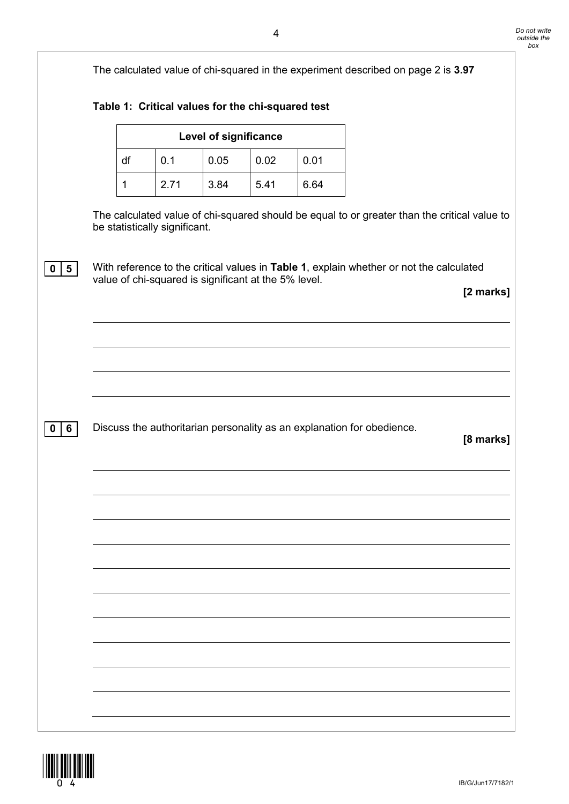The calculated value of chi-squared in the experiment described on page 2 is **3.97 Table 1: Critical values for the chi-squared test Level of significance** df 0.1 0.05 0.02 0.01 1 2.71 3.84 5.41 6.64 The calculated value of chi-squared should be equal to or greater than the critical value to be statistically significant. **0 5** With reference to the critical values in **Table 1**, explain whether or not the calculated value of chi-squared is significant at the 5% level. **[2 marks] 0 6** Discuss the authoritarian personality as an explanation for obedience. **[8 marks]**

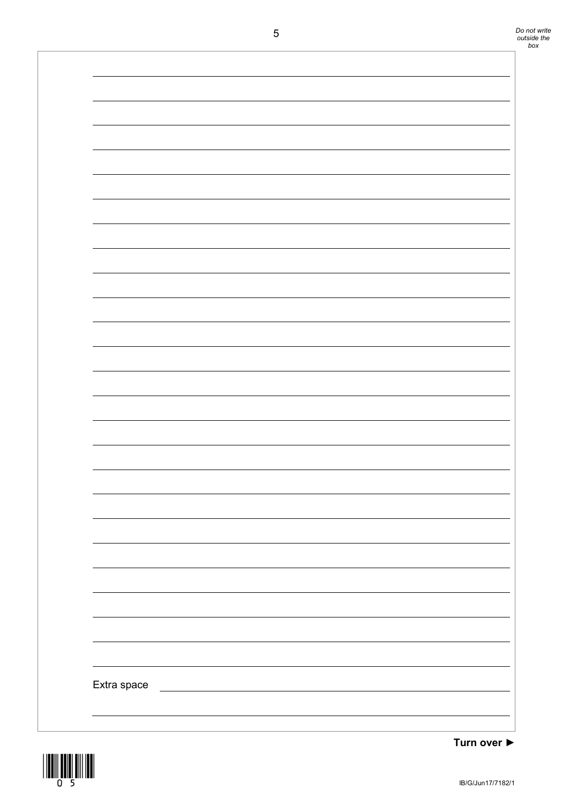| Extra space |  |  |
|-------------|--|--|
|             |  |  |

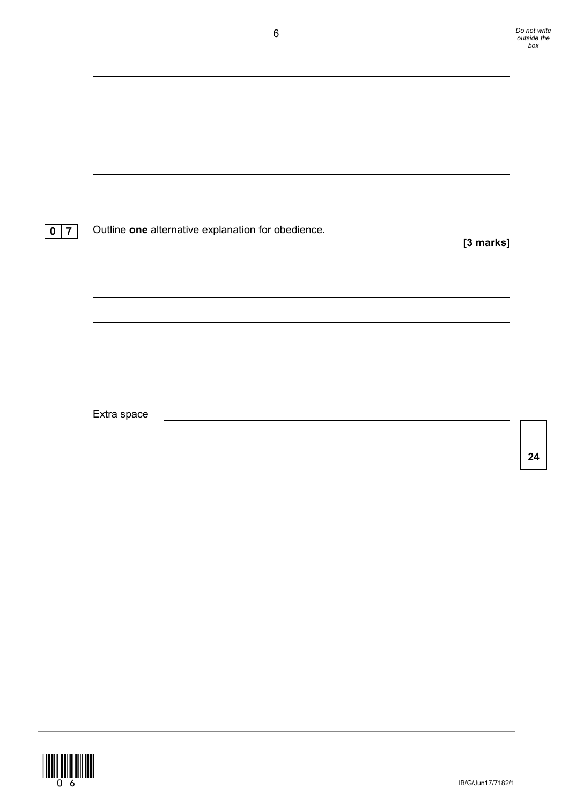**24**

| $\overline{7}$<br>$\mathbf 0$ | Outline one alternative explanation for obedience.                       |           |
|-------------------------------|--------------------------------------------------------------------------|-----------|
|                               |                                                                          | [3 marks] |
|                               |                                                                          |           |
|                               | Extra space<br><u> 1980 - Johann Barbara, martxa amerikan personal (</u> |           |
|                               |                                                                          |           |
|                               |                                                                          |           |
|                               |                                                                          |           |

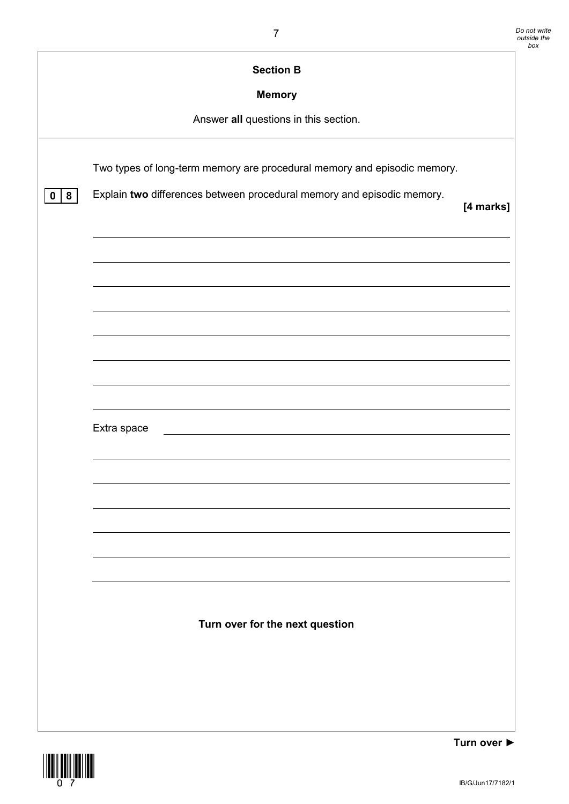|                  | <b>Section B</b>                                                         |           |
|------------------|--------------------------------------------------------------------------|-----------|
|                  | <b>Memory</b>                                                            |           |
|                  | Answer all questions in this section.                                    |           |
|                  |                                                                          |           |
|                  | Two types of long-term memory are procedural memory and episodic memory. |           |
| 8<br>$\mathbf 0$ | Explain two differences between procedural memory and episodic memory.   | [4 marks] |
|                  |                                                                          |           |
|                  |                                                                          |           |
|                  |                                                                          |           |
|                  |                                                                          |           |
|                  |                                                                          |           |
|                  |                                                                          |           |
|                  |                                                                          |           |
|                  |                                                                          |           |
|                  | Extra space                                                              |           |
|                  |                                                                          |           |
|                  |                                                                          |           |
|                  |                                                                          |           |
|                  |                                                                          |           |
|                  |                                                                          |           |
|                  |                                                                          |           |
|                  |                                                                          |           |
|                  | Turn over for the next question                                          |           |
|                  |                                                                          |           |
|                  |                                                                          |           |
|                  |                                                                          |           |
|                  |                                                                          |           |
|                  |                                                                          |           |

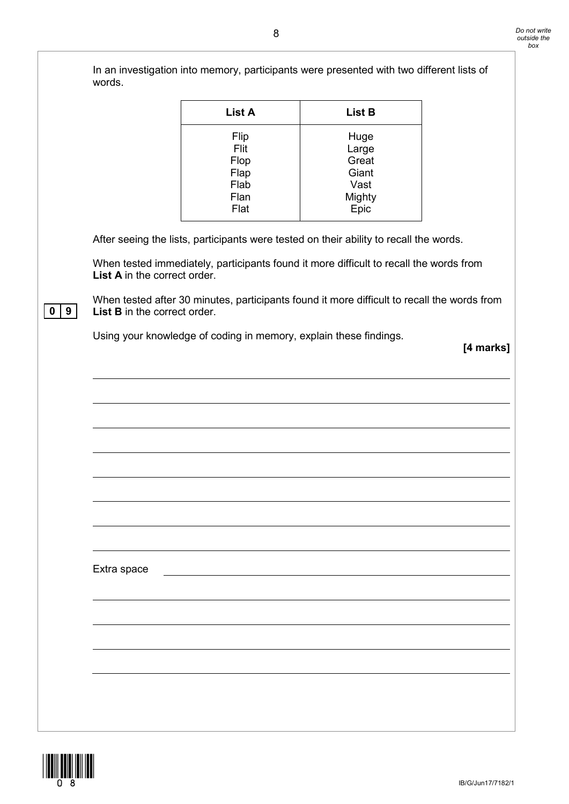In an investigation into memory, participants were presented with two different lists of words.

| List A                                               | List B                                                    |
|------------------------------------------------------|-----------------------------------------------------------|
| Flip<br>Flit<br>Flop<br>Flap<br>Flab<br>Flan<br>Flat | Huge<br>Large<br>Great<br>Giant<br>Vast<br>Mighty<br>Epic |
|                                                      |                                                           |

After seeing the lists, participants were tested on their ability to recall the words.

When tested immediately, participants found it more difficult to recall the words from List A in the correct order.

When tested after 30 minutes, participants found it more difficult to recall the words from **List B** in the correct order.

Using your knowledge of coding in memory, explain these findings.

**[4 marks]**

\*08\*

Extra space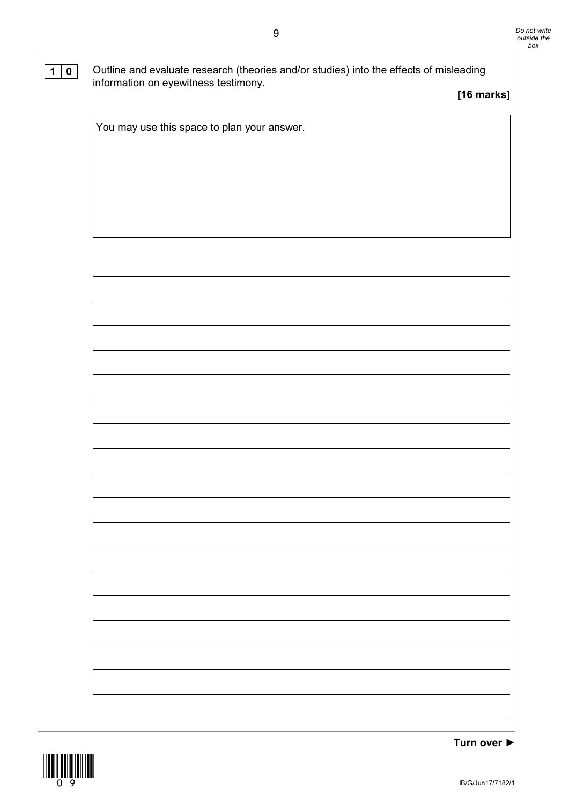#### **1 0** Outline and evaluate research (theories and/or studies) into the effects of misleading information on eyewitness testimony.

### **[16 marks]**

You may use this space to plan your answer.

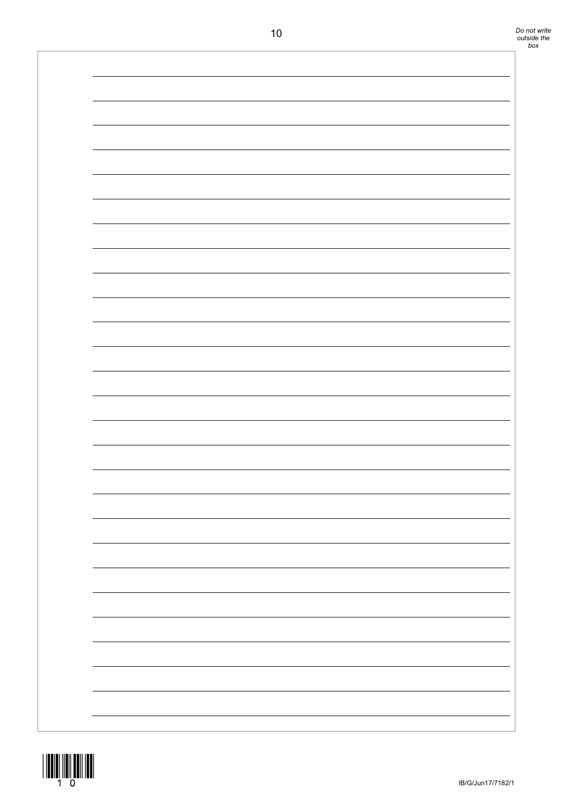

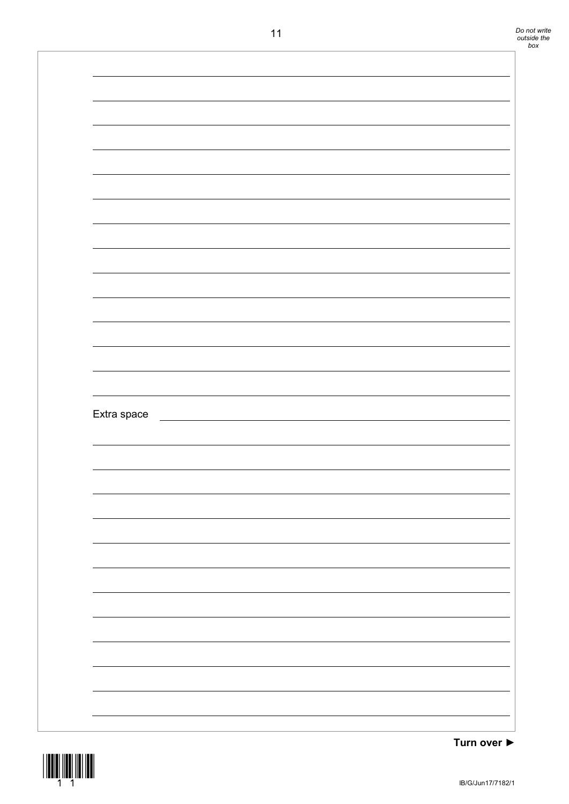| Extra space |  |  |  |
|-------------|--|--|--|
|             |  |  |  |
|             |  |  |  |
|             |  |  |  |

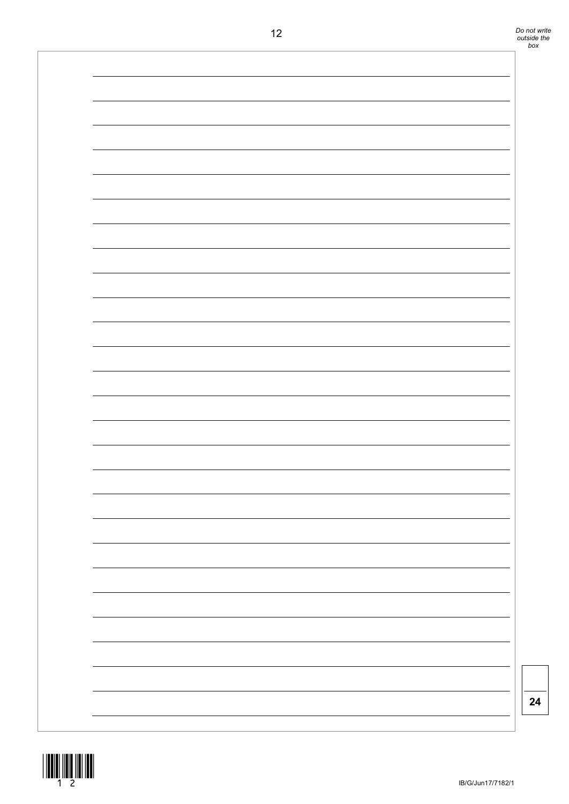

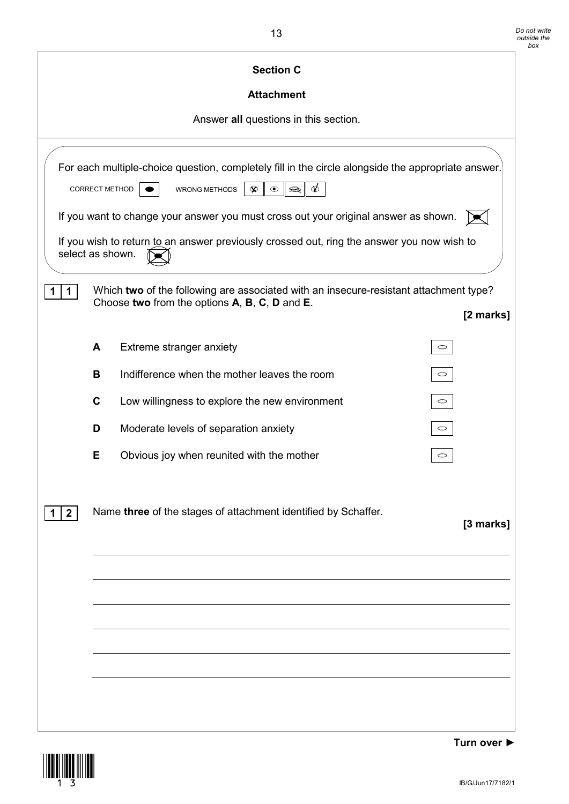|                  |                | <b>Section C</b>                                                                                                                                                                                                                                                                                                                                             |           |
|------------------|----------------|--------------------------------------------------------------------------------------------------------------------------------------------------------------------------------------------------------------------------------------------------------------------------------------------------------------------------------------------------------------|-----------|
|                  |                | <b>Attachment</b>                                                                                                                                                                                                                                                                                                                                            |           |
|                  |                | Answer all questions in this section.                                                                                                                                                                                                                                                                                                                        |           |
| select as shown. | CORRECT METHOD | For each multiple-choice question, completely fill in the circle alongside the appropriate answer.<br>$\odot$<br>Φ<br><b>WRONG METHODS</b><br>$\infty$<br>$\Rightarrow$<br>If you want to change your answer you must cross out your original answer as shown.<br>If you wish to return to an answer previously crossed out, ring the answer you now wish to |           |
|                  |                | Which two of the following are associated with an insecure-resistant attachment type?                                                                                                                                                                                                                                                                        |           |
|                  |                | Choose two from the options A, B, C, D and E.                                                                                                                                                                                                                                                                                                                | [2 marks] |
|                  | A              | Extreme stranger anxiety<br>$\circ$                                                                                                                                                                                                                                                                                                                          |           |
|                  | B              | Indifference when the mother leaves the room<br>$\circ$                                                                                                                                                                                                                                                                                                      |           |
|                  | C              | Low willingness to explore the new environment<br>$\circ$                                                                                                                                                                                                                                                                                                    |           |
|                  | D              | Moderate levels of separation anxiety<br>$\circ$                                                                                                                                                                                                                                                                                                             |           |
|                  | Е              | Obvious joy when reunited with the mother                                                                                                                                                                                                                                                                                                                    |           |
| $\mathbf{2}$     |                | Name three of the stages of attachment identified by Schaffer.                                                                                                                                                                                                                                                                                               | [3 marks] |
|                  |                |                                                                                                                                                                                                                                                                                                                                                              |           |
|                  |                |                                                                                                                                                                                                                                                                                                                                                              |           |
|                  |                |                                                                                                                                                                                                                                                                                                                                                              |           |
|                  |                |                                                                                                                                                                                                                                                                                                                                                              |           |
|                  |                |                                                                                                                                                                                                                                                                                                                                                              |           |
|                  |                |                                                                                                                                                                                                                                                                                                                                                              |           |
|                  |                |                                                                                                                                                                                                                                                                                                                                                              |           |

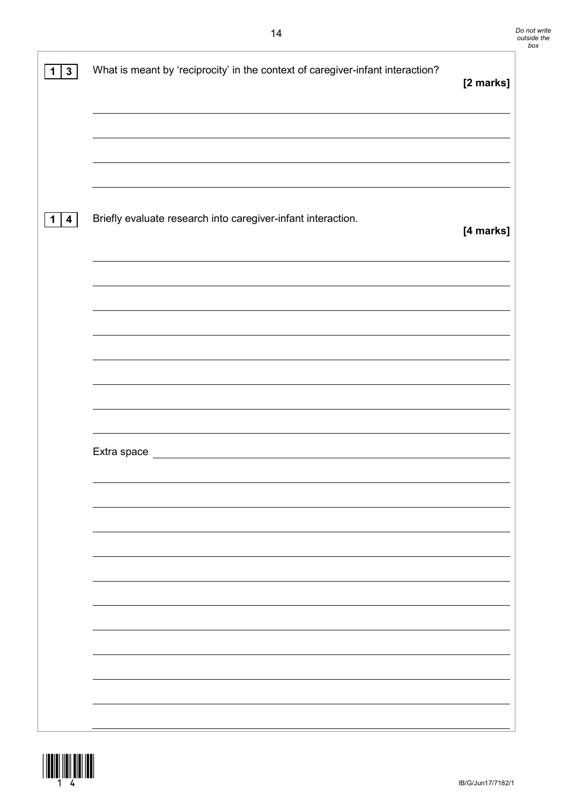| $3\phantom{a}$<br>1 | What is meant by 'reciprocity' in the context of caregiver-infant interaction?                                                                                                                                                      | [2 marks] |
|---------------------|-------------------------------------------------------------------------------------------------------------------------------------------------------------------------------------------------------------------------------------|-----------|
| 4<br>1              | Briefly evaluate research into caregiver-infant interaction.                                                                                                                                                                        | [4 marks] |
|                     |                                                                                                                                                                                                                                     |           |
|                     |                                                                                                                                                                                                                                     |           |
|                     | Extra space <u>extra space</u> and the set of the set of the set of the set of the set of the set of the set of the set of the set of the set of the set of the set of the set of the set of the set of the set of the set of the s |           |
|                     |                                                                                                                                                                                                                                     |           |
|                     |                                                                                                                                                                                                                                     |           |

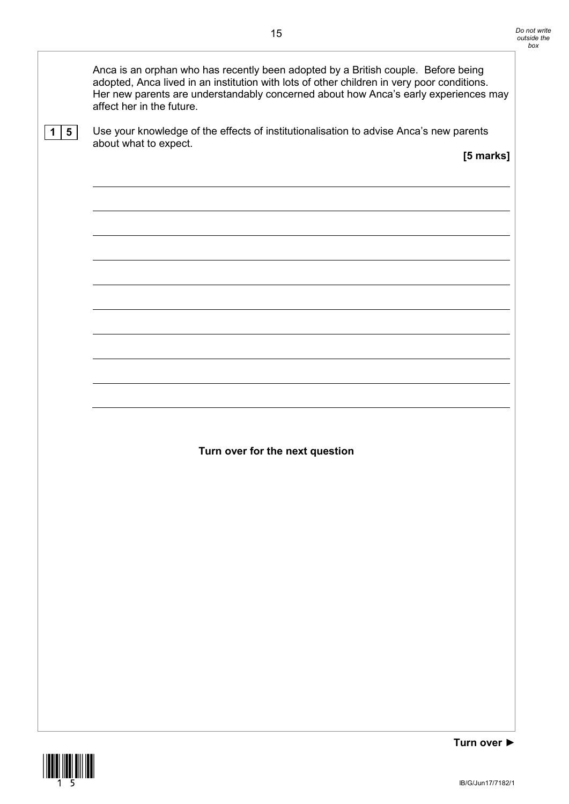|                     | Anca is an orphan who has recently been adopted by a British couple. Before being<br>adopted, Anca lived in an institution with lots of other children in very poor conditions.<br>Her new parents are understandably concerned about how Anca's early experiences may<br>affect her in the future. |
|---------------------|-----------------------------------------------------------------------------------------------------------------------------------------------------------------------------------------------------------------------------------------------------------------------------------------------------|
| 5 <sup>5</sup><br>1 | Use your knowledge of the effects of institutionalisation to advise Anca's new parents<br>about what to expect.                                                                                                                                                                                     |
|                     | [5 marks]                                                                                                                                                                                                                                                                                           |
|                     |                                                                                                                                                                                                                                                                                                     |
|                     |                                                                                                                                                                                                                                                                                                     |
|                     |                                                                                                                                                                                                                                                                                                     |
|                     |                                                                                                                                                                                                                                                                                                     |
|                     |                                                                                                                                                                                                                                                                                                     |
|                     |                                                                                                                                                                                                                                                                                                     |
|                     |                                                                                                                                                                                                                                                                                                     |
|                     |                                                                                                                                                                                                                                                                                                     |
|                     |                                                                                                                                                                                                                                                                                                     |
|                     | Turn over for the next question                                                                                                                                                                                                                                                                     |
|                     |                                                                                                                                                                                                                                                                                                     |
|                     |                                                                                                                                                                                                                                                                                                     |
|                     |                                                                                                                                                                                                                                                                                                     |
|                     |                                                                                                                                                                                                                                                                                                     |
|                     |                                                                                                                                                                                                                                                                                                     |
|                     |                                                                                                                                                                                                                                                                                                     |
|                     |                                                                                                                                                                                                                                                                                                     |
|                     |                                                                                                                                                                                                                                                                                                     |
|                     |                                                                                                                                                                                                                                                                                                     |
|                     |                                                                                                                                                                                                                                                                                                     |
|                     | Turn over $\blacktriangleright$                                                                                                                                                                                                                                                                     |

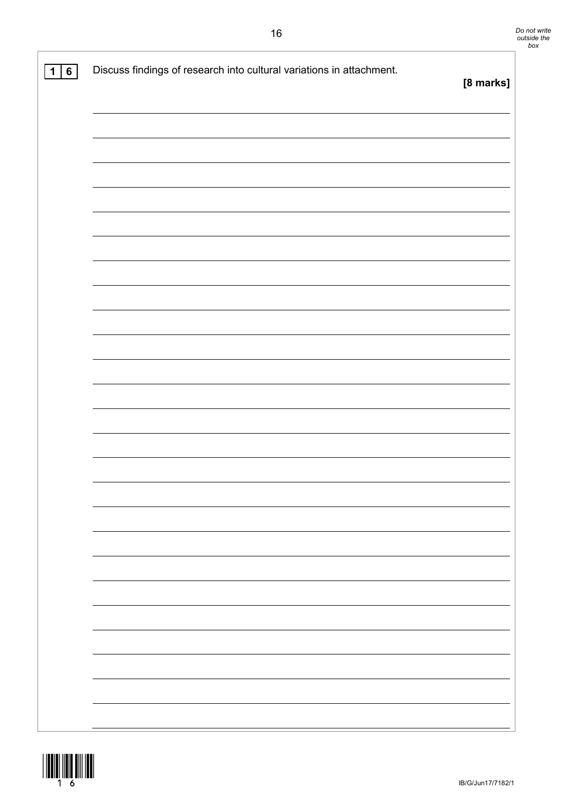| 6 <br>$\mathbf 1$ | Discuss findings of research into cultural variations in attachment. | [8 marks] |
|-------------------|----------------------------------------------------------------------|-----------|
|                   |                                                                      |           |
|                   |                                                                      |           |
|                   |                                                                      |           |
|                   |                                                                      |           |
|                   |                                                                      |           |
|                   |                                                                      |           |
|                   |                                                                      |           |
|                   |                                                                      |           |
|                   |                                                                      |           |
|                   |                                                                      |           |
|                   |                                                                      |           |
|                   |                                                                      |           |
|                   |                                                                      |           |
|                   |                                                                      |           |
|                   |                                                                      |           |

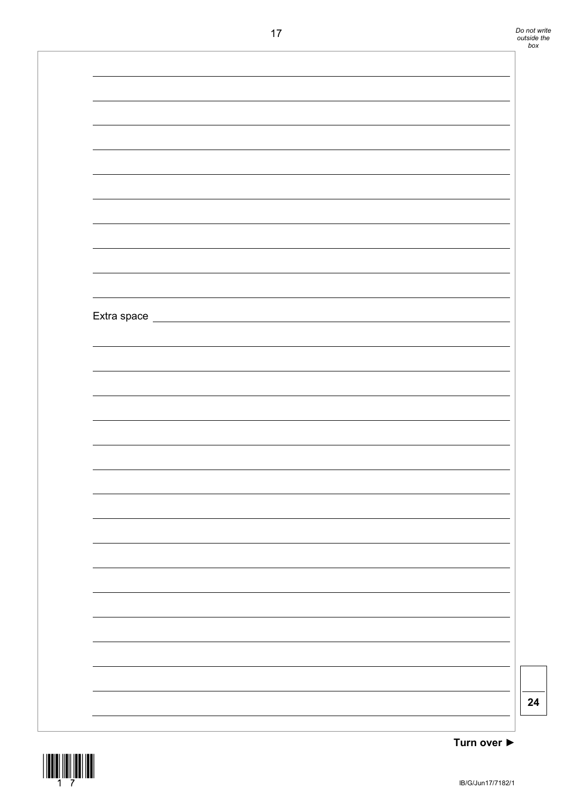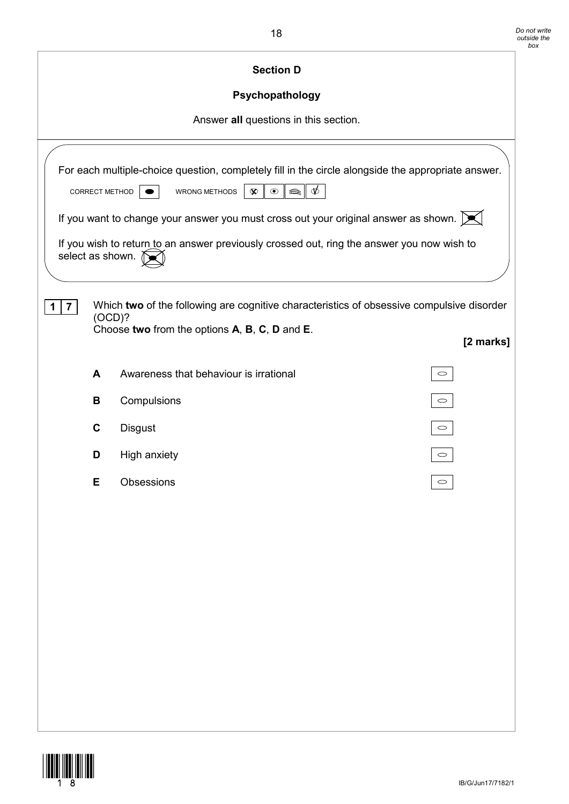| <b>Section D</b>                                                                                                                                                                                                                                                                                                                                                                                               |   |                                                                                                     |           |  |  |
|----------------------------------------------------------------------------------------------------------------------------------------------------------------------------------------------------------------------------------------------------------------------------------------------------------------------------------------------------------------------------------------------------------------|---|-----------------------------------------------------------------------------------------------------|-----------|--|--|
|                                                                                                                                                                                                                                                                                                                                                                                                                |   | Psychopathology                                                                                     |           |  |  |
|                                                                                                                                                                                                                                                                                                                                                                                                                |   | Answer all questions in this section.                                                               |           |  |  |
|                                                                                                                                                                                                                                                                                                                                                                                                                |   |                                                                                                     |           |  |  |
| For each multiple-choice question, completely fill in the circle alongside the appropriate answer.<br>$\odot$<br>CORRECT METHOD<br>$\infty$<br>$\Rightarrow$<br><b>WRONG METHODS</b><br>If you want to change your answer you must cross out your original answer as shown. $\triangleright$<br>If you wish to return to an answer previously crossed out, ring the answer you now wish to<br>select as shown. |   |                                                                                                     |           |  |  |
| $\overline{7}$                                                                                                                                                                                                                                                                                                                                                                                                 |   | Which two of the following are cognitive characteristics of obsessive compulsive disorder<br>(OCD)? |           |  |  |
|                                                                                                                                                                                                                                                                                                                                                                                                                |   | Choose two from the options A, B, C, D and E.                                                       |           |  |  |
|                                                                                                                                                                                                                                                                                                                                                                                                                |   |                                                                                                     | [2 marks] |  |  |
|                                                                                                                                                                                                                                                                                                                                                                                                                | A | Awareness that behaviour is irrational<br>$\circ$                                                   |           |  |  |
|                                                                                                                                                                                                                                                                                                                                                                                                                | B | Compulsions<br>$\circ$                                                                              |           |  |  |
|                                                                                                                                                                                                                                                                                                                                                                                                                | C | <b>Disgust</b><br>$\circlearrowright$                                                               |           |  |  |
|                                                                                                                                                                                                                                                                                                                                                                                                                | D | High anxiety<br>$\circ$                                                                             |           |  |  |
|                                                                                                                                                                                                                                                                                                                                                                                                                | E | Obsessions<br>$\circ$                                                                               |           |  |  |
|                                                                                                                                                                                                                                                                                                                                                                                                                |   |                                                                                                     |           |  |  |
|                                                                                                                                                                                                                                                                                                                                                                                                                |   |                                                                                                     |           |  |  |
|                                                                                                                                                                                                                                                                                                                                                                                                                |   |                                                                                                     |           |  |  |
|                                                                                                                                                                                                                                                                                                                                                                                                                |   |                                                                                                     |           |  |  |
|                                                                                                                                                                                                                                                                                                                                                                                                                |   |                                                                                                     |           |  |  |
|                                                                                                                                                                                                                                                                                                                                                                                                                |   |                                                                                                     |           |  |  |
|                                                                                                                                                                                                                                                                                                                                                                                                                |   |                                                                                                     |           |  |  |
|                                                                                                                                                                                                                                                                                                                                                                                                                |   |                                                                                                     |           |  |  |
|                                                                                                                                                                                                                                                                                                                                                                                                                |   |                                                                                                     |           |  |  |
|                                                                                                                                                                                                                                                                                                                                                                                                                |   |                                                                                                     |           |  |  |
|                                                                                                                                                                                                                                                                                                                                                                                                                |   |                                                                                                     |           |  |  |

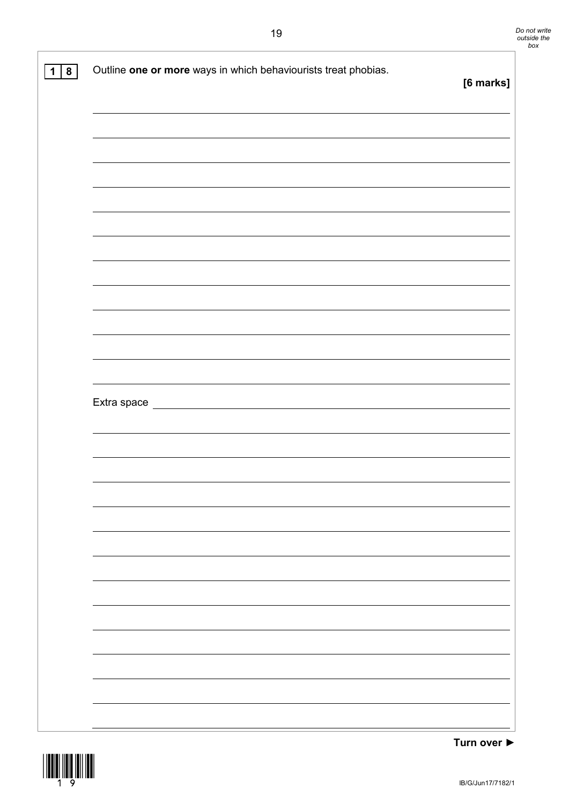| 8 <sup>1</sup><br>1 | Outline one or more ways in which behaviourists treat phobias. | [6 marks] |
|---------------------|----------------------------------------------------------------|-----------|
|                     |                                                                |           |
|                     |                                                                |           |
|                     |                                                                |           |
|                     |                                                                |           |
|                     |                                                                |           |
|                     |                                                                |           |
|                     |                                                                |           |
|                     |                                                                |           |
|                     |                                                                |           |
|                     |                                                                |           |
|                     |                                                                |           |
|                     |                                                                |           |
|                     |                                                                |           |
|                     |                                                                |           |
|                     |                                                                |           |

 $\begin{array}{c} \begin{array}{c} \begin{array}{c} \text{1} \\ \text{1} \\ \text{1} \\ \text{2} \end{array} \end{array} \end{array}$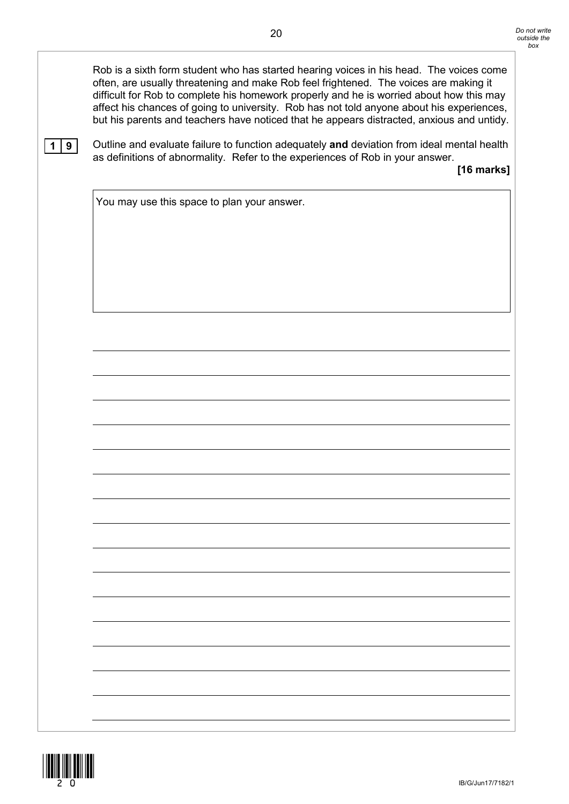| 9 | Rob is a sixth form student who has started hearing voices in his head. The voices come<br>often, are usually threatening and make Rob feel frightened. The voices are making it<br>difficult for Rob to complete his homework properly and he is worried about how this may<br>affect his chances of going to university. Rob has not told anyone about his experiences,<br>but his parents and teachers have noticed that he appears distracted, anxious and untidy.<br>Outline and evaluate failure to function adequately and deviation from ideal mental health<br>as definitions of abnormality. Refer to the experiences of Rob in your answer.<br>[16 marks] |
|---|----------------------------------------------------------------------------------------------------------------------------------------------------------------------------------------------------------------------------------------------------------------------------------------------------------------------------------------------------------------------------------------------------------------------------------------------------------------------------------------------------------------------------------------------------------------------------------------------------------------------------------------------------------------------|
|   | You may use this space to plan your answer.                                                                                                                                                                                                                                                                                                                                                                                                                                                                                                                                                                                                                          |
|   |                                                                                                                                                                                                                                                                                                                                                                                                                                                                                                                                                                                                                                                                      |
|   |                                                                                                                                                                                                                                                                                                                                                                                                                                                                                                                                                                                                                                                                      |
|   |                                                                                                                                                                                                                                                                                                                                                                                                                                                                                                                                                                                                                                                                      |
|   |                                                                                                                                                                                                                                                                                                                                                                                                                                                                                                                                                                                                                                                                      |
|   |                                                                                                                                                                                                                                                                                                                                                                                                                                                                                                                                                                                                                                                                      |
|   |                                                                                                                                                                                                                                                                                                                                                                                                                                                                                                                                                                                                                                                                      |
|   |                                                                                                                                                                                                                                                                                                                                                                                                                                                                                                                                                                                                                                                                      |
|   |                                                                                                                                                                                                                                                                                                                                                                                                                                                                                                                                                                                                                                                                      |
|   |                                                                                                                                                                                                                                                                                                                                                                                                                                                                                                                                                                                                                                                                      |
|   |                                                                                                                                                                                                                                                                                                                                                                                                                                                                                                                                                                                                                                                                      |
|   |                                                                                                                                                                                                                                                                                                                                                                                                                                                                                                                                                                                                                                                                      |
|   |                                                                                                                                                                                                                                                                                                                                                                                                                                                                                                                                                                                                                                                                      |
|   |                                                                                                                                                                                                                                                                                                                                                                                                                                                                                                                                                                                                                                                                      |
|   |                                                                                                                                                                                                                                                                                                                                                                                                                                                                                                                                                                                                                                                                      |
|   |                                                                                                                                                                                                                                                                                                                                                                                                                                                                                                                                                                                                                                                                      |
|   |                                                                                                                                                                                                                                                                                                                                                                                                                                                                                                                                                                                                                                                                      |
|   |                                                                                                                                                                                                                                                                                                                                                                                                                                                                                                                                                                                                                                                                      |
|   |                                                                                                                                                                                                                                                                                                                                                                                                                                                                                                                                                                                                                                                                      |
|   |                                                                                                                                                                                                                                                                                                                                                                                                                                                                                                                                                                                                                                                                      |
|   |                                                                                                                                                                                                                                                                                                                                                                                                                                                                                                                                                                                                                                                                      |
|   |                                                                                                                                                                                                                                                                                                                                                                                                                                                                                                                                                                                                                                                                      |
|   |                                                                                                                                                                                                                                                                                                                                                                                                                                                                                                                                                                                                                                                                      |
|   |                                                                                                                                                                                                                                                                                                                                                                                                                                                                                                                                                                                                                                                                      |

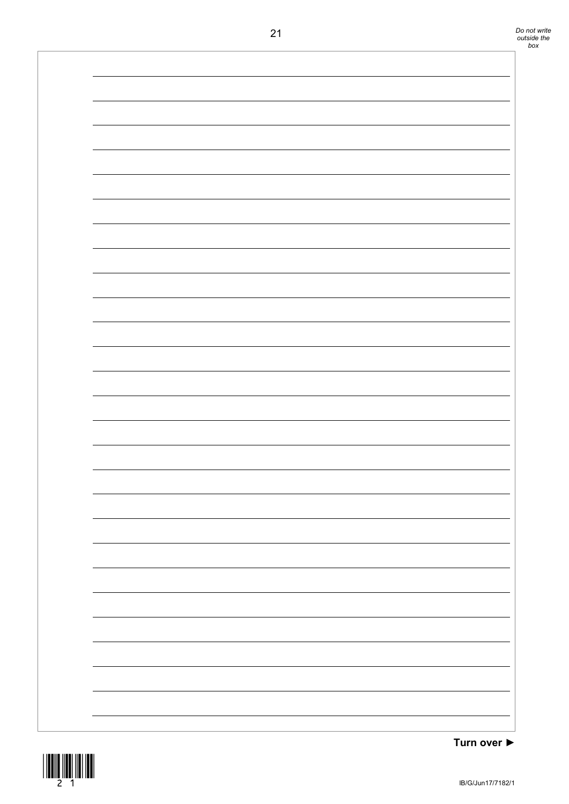

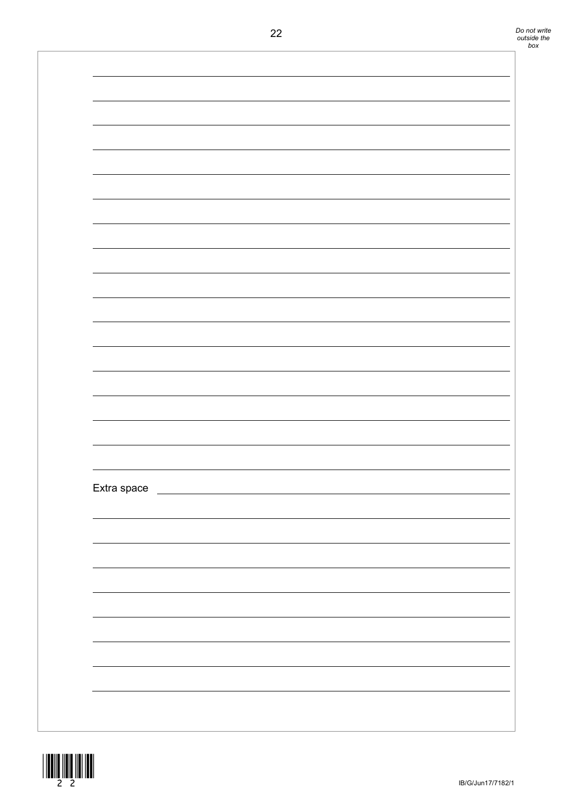

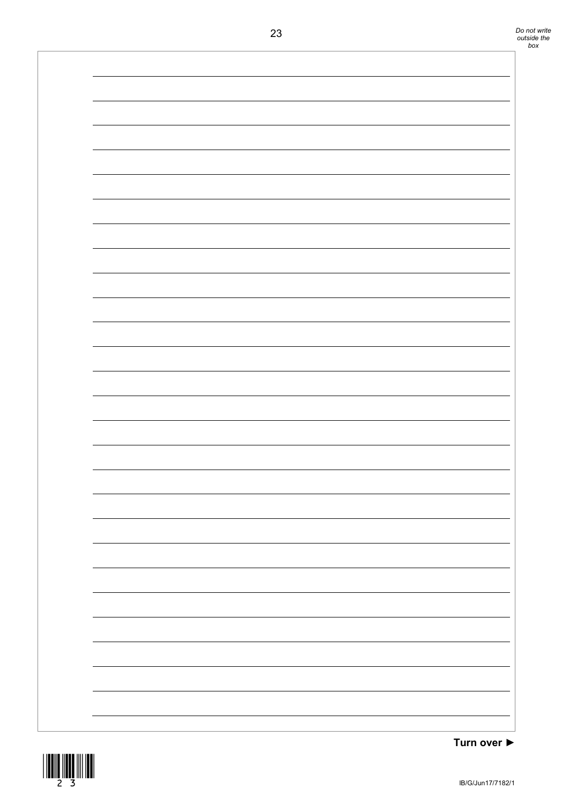



IB/G/Jun17/7182/1